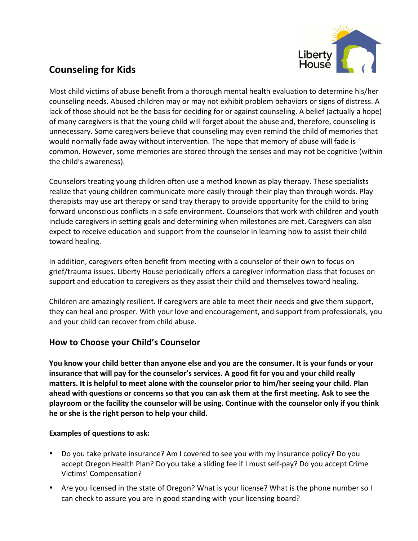

# **Counseling for Kids**

Most child victims of abuse benefit from a thorough mental health evaluation to determine his/her counseling needs. Abused children may or may not exhibit problem behaviors or signs of distress. A lack of those should not be the basis for deciding for or against counseling. A belief (actually a hope) of many caregivers is that the young child will forget about the abuse and, therefore, counseling is unnecessary. Some caregivers believe that counseling may even remind the child of memories that would normally fade away without intervention. The hope that memory of abuse will fade is common. However, some memories are stored through the senses and may not be cognitive (within the child's awareness).

Counselors treating young children often use a method known as play therapy. These specialists realize that young children communicate more easily through their play than through words. Play therapists may use art therapy or sand tray therapy to provide opportunity for the child to bring forward unconscious conflicts in a safe environment. Counselors that work with children and youth include caregivers in setting goals and determining when milestones are met. Caregivers can also expect to receive education and support from the counselor in learning how to assist their child toward healing.

In addition, caregivers often benefit from meeting with a counselor of their own to focus on grief/trauma issues. Liberty House periodically offers a caregiver information class that focuses on support and education to caregivers as they assist their child and themselves toward healing.

Children are amazingly resilient. If caregivers are able to meet their needs and give them support, they can heal and prosper. With your love and encouragement, and support from professionals, you and your child can recover from child abuse.

# **How to Choose your Child's Counselor**

**You know your child better than anyone else and you are the consumer. It is your funds or your** insurance that will pay for the counselor's services. A good fit for you and your child really matters. It is helpful to meet alone with the counselor prior to him/her seeing your child. Plan ahead with questions or concerns so that you can ask them at the first meeting. Ask to see the playroom or the facility the counselor will be using. Continue with the counselor only if you think he or she is the right person to help your child.

# **Examples of questions to ask:**

- Do you take private insurance? Am I covered to see you with my insurance policy? Do you accept Oregon Health Plan? Do you take a sliding fee if I must self-pay? Do you accept Crime Victims' Compensation?
- Are you licensed in the state of Oregon? What is your license? What is the phone number so I can check to assure you are in good standing with your licensing board?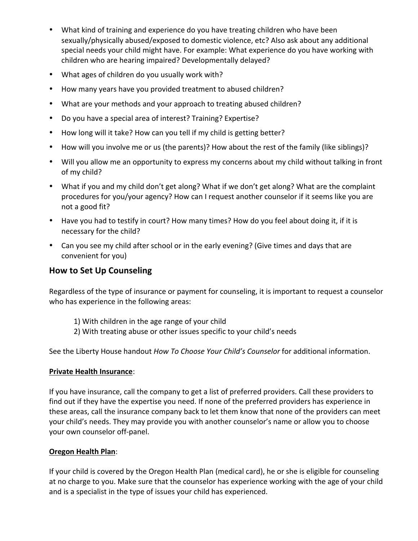- What kind of training and experience do you have treating children who have been sexually/physically abused/exposed to domestic violence, etc? Also ask about any additional special needs your child might have. For example: What experience do you have working with children who are hearing impaired? Developmentally delayed?
- What ages of children do you usually work with?
- How many years have you provided treatment to abused children?
- What are your methods and your approach to treating abused children?
- Do you have a special area of interest? Training? Expertise?
- How long will it take? How can you tell if my child is getting better?
- How will you involve me or us (the parents)? How about the rest of the family (like siblings)?
- Will you allow me an opportunity to express my concerns about my child without talking in front of my child?
- What if you and my child don't get along? What if we don't get along? What are the complaint procedures for you/your agency? How can I request another counselor if it seems like you are not a good fit?
- Have you had to testify in court? How many times? How do you feel about doing it, if it is necessary for the child?
- Can you see my child after school or in the early evening? (Give times and days that are convenient for you)

# **How to Set Up Counseling**

Regardless of the type of insurance or payment for counseling, it is important to request a counselor who has experience in the following areas:

- 1) With children in the age range of your child
- 2) With treating abuse or other issues specific to your child's needs

See the Liberty House handout *How To Choose Your Child's Counselor* for additional information.

### **Private Health Insurance:**

If you have insurance, call the company to get a list of preferred providers. Call these providers to find out if they have the expertise you need. If none of the preferred providers has experience in these areas, call the insurance company back to let them know that none of the providers can meet your child's needs. They may provide you with another counselor's name or allow you to choose your own counselor off-panel.

### **Oregon Health Plan**:

If your child is covered by the Oregon Health Plan (medical card), he or she is eligible for counseling at no charge to you. Make sure that the counselor has experience working with the age of your child and is a specialist in the type of issues your child has experienced.